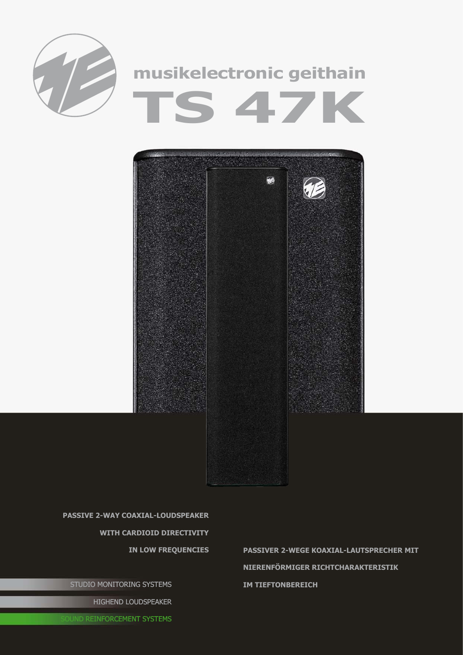



**passive 2-way coaxial-Loudspeaker with cardioid directivity** 

STUDIO MONITORING SYSTEMS

HIGHEND LOUDSPEAKER

**in low frequencies passiveR 2-wEGE Koaxial-lAUTSPRECHER mit nierenförmiger Richtcharakteristik im Tieftonbereich**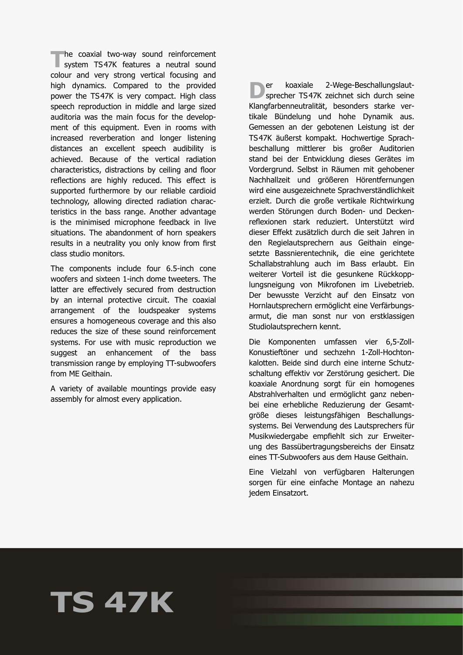**The coaxial two-way sound reinforcement**<br>
system TS47K features a neutral sound<br>
system and users there exities features and colour and very strong vertical focusing and high dynamics. Compared to the provided power the TS47K is very compact. High class speech reproduction in middle and large sized auditoria was the main focus for the development of this equipment. Even in rooms with increased reverberation and longer listening distances an excellent speech audibility is achieved. Because of the vertical radiation characteristics, distractions by ceiling and floor reflections are highly reduced. This effect is supported furthermore by our reliable cardioid technology, allowing directed radiation characteristics in the bass range. Another advantage is the minimised microphone feedback in live situations. The abandonment of horn speakers results in a neutrality you only know from first class studio monitors.

The components include four 6.5-inch cone woofers and sixteen 1-inch dome tweeters. The latter are effectively secured from destruction by an internal protective circuit. The coaxial arrangement of the loudspeaker systems ensures a homogeneous coverage and this also reduces the size of these sound reinforcement systems. For use with music reproduction we suggest an enhancement of the bass transmission range by employing TT-subwoofers from ME Geithain.

A variety of available mountings provide easy assembly for almost every application.

**D**er koaxiale 2-Wege-Beschallungslaut-<br>sprecher TS47K zeichnet sich durch seine Klangfarbenneutralität, besonders starke vertikale Bündelung und hohe Dynamik aus. Gemessen an der gebotenen Leistung ist der TS47K äußerst kompakt. Hochwertige Sprachbeschallung mittlerer bis großer Auditorien stand bei der Entwicklung dieses Gerätes im Vordergrund. Selbst in Räumen mit gehobener Nachhallzeit und größeren Hörentfernungen wird eine ausgezeichnete Sprachverständlichkeit erzielt. Durch die große vertikale Richtwirkung werden Störungen durch Boden- und Deckenreflexionen stark reduziert. Unterstützt wird dieser Effekt zusätzlich durch die seit Jahren in den Regielautsprechern aus Geithain eingesetzte Bassnierentechnik, die eine gerichtete Schallabstrahlung auch im Bass erlaubt. Ein weiterer Vorteil ist die gesunkene Rückkopplungsneigung von Mikrofonen im Livebetrieb. Der bewusste Verzicht auf den Einsatz von Hornlautsprechern ermöglicht eine Verfärbungsarmut, die man sonst nur von erstklassigen Studiolautsprechern kennt.

Die Komponenten umfassen vier 6,5-Zoll-Konustieftöner und sechzehn 1-Zoll-Hochtonkalotten. Beide sind durch eine interne Schutzschaltung effektiv vor Zerstörung gesichert. Die koaxiale Anordnung sorgt für ein homogenes Abstrahlverhalten und ermöglicht ganz nebenbei eine erhebliche Reduzierung der Gesamtgröße dieses leistungsfähigen Beschallungssystems. Bei Verwendung des Lautsprechers für Musikwiedergabe empfiehlt sich zur Erweiterung des Bassübertragungsbereichs der Einsatz eines TT-Subwoofers aus dem Hause Geithain.

Eine Vielzahl von verfügbaren Halterungen sorgen für eine einfache Montage an nahezu jedem Einsatzort.

## **TS 47K**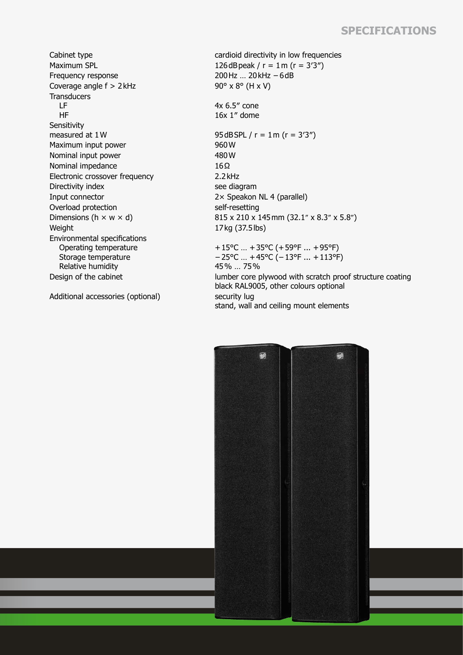## **Specifications**

Frequency response 200Hz … 20kHz −6dB Coverage angle  $f > 2$  kHz 90° x 8° (H x V) **Transducers**  LF HF Sensitivity<br>measured at 1W Maximum input power 960 W Nominal input power 480 W Nominal impedance 16Ω Electronic crossover frequency 2.2kHz Directivity index see diagram Input connector 2× Speakon NL 4 (parallel) Overload protection self-resetting<br>Dimensions ( $h \times w \times d$ ) 815 x 210 x 1 Weight 17kg (37.5lbs) Environmental specifications Operating temperature Storage temperature Relative humidity<br>Design of the cabinet

Additional accessories (optional) security lug

Cabinet type cardioid directivity in low frequencies Maximum SPL  $126 dB$  peak  $r = 1$ m  $(r = 3'3'')$ 4x 6.5″ cone 16x 1″ dome 95dBSPL /  $r = 1$  m ( $r = 3'3''$ )  $815 \times 210 \times 145$  mm (32.1" x 8.3" x 5.8") +15°C … +35°C (+59°F ... +95°F) −25°C … +45°C (−13°F ... +113°F) 45% … 75% lumber core plywood with scratch proof structure coating black RAL9005, other colours optional stand, wall and ceiling mount elements